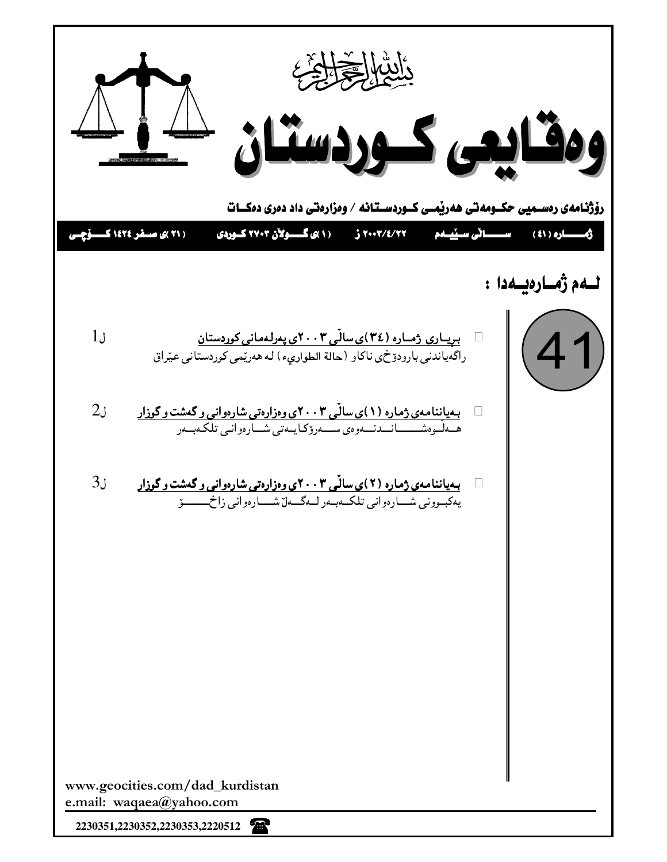

2230351,2230352,2230353,2220512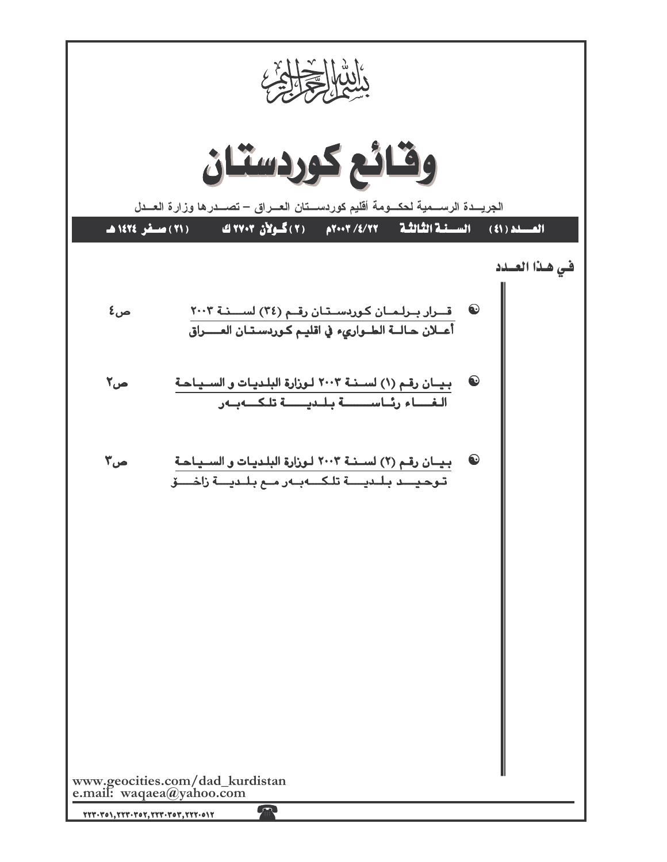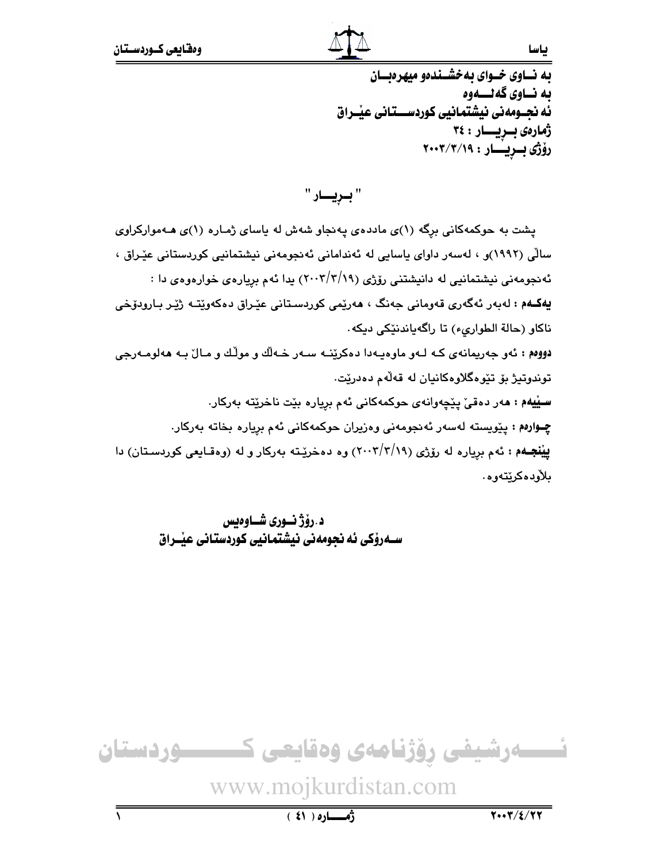## به نساوی خسوای به خشسندهو میهرهبسان ىه نــاوى گەنــــەوە ئه نجــومهني نيشتمانيي كوردســـتاني عيْــراق ژمارەى بىريسىار : ٢٤ رۆژى بىريسار : ٢٠٠٣/٣/١٩

" بـريـــار "

پشت به حوکمهکانی برِگه (۱)ی ماددهی پهنجاو شهش له یاسای ژمـاره (۱)ی هـهموارکراوی سالْی (۱۹۹۲)و ، لەسەر داوای ياسايی لە ئەندامانی ئەنجومەنی نیشتمانیی کوردستانی عیّراق ، ئه نجومهنی نیشتمانیی له دانیشتنی رۆژی (۲۰۰۲/۲/۱۹) بدا ئهم بریارهی خوارهوهی دا : **يەكــهم :** لەبەر ئەگەرى قەومانى جەنگ ، ھەرێمى كوردسىتانى عێراق دەكەوێتـە ژێر بـارودۆخى ناكاو (حالة الطوارىء) تا راگهياندنٽِكي ديكه. دووم : ئەو جەريمانەي كـه لـەو ماوەپـەدا دەكرێنــه سـەر خــەلّك و مولّك و مـالٌ بـه ھەلومـەرجى توندوتيژ بۆ تێوەگلاوەكانيان لە قەلەم دەدرێت. سيِّيهم : مەر دەقى پيچەوانەي حوكمەكانى ئەم بريارە بيّت ناخريتە بەركار. چوارهم: پێویسته لهسهر ئهنجومهنی وهزیران حوکمهکانی ئهم بریاره بخاته بهرکار. **یینجهم :** ئهم بریاره له رۆژی (۲۰۰۳/۲/۱۹) وه دهخریته بهرکار و له (وهقـایعی کوردسـتان) دا بلأودەكرێتەوە.

د.رۆژ نسورى شساوەبس ســهروْکي ئه نجومهني نيشتمـانيي کوردستـاني عيْــراق

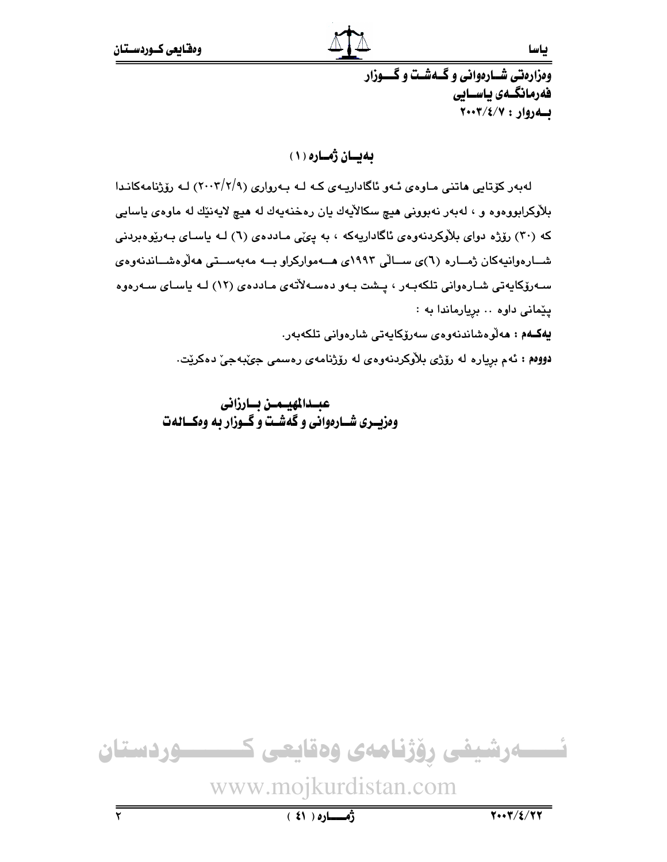ئياسيا

ومزارهتى شسارهوانى وكسهشت وكسوزار فەرمانگىەى ياسىايى بهروار: ٢٠٠٣/٤/٧

به بسان ژماره (١)

لەبەر كۆتايى ھاتنى مـاوەي ئـەو ئاگاداريـەي كـە لـە بـەروارى (٢/٢/٩) لـە رۆژنامەكانـدا بلاّوکرابووهوه و ، لهېهر نهبوونی هيچ سکالاّيهك يان رهخنهيهك له هيچ لايهنێك له ماوهۍ ياسايي که (۳۰) رۆژه دوای بلاوکردنهوهی ئاگاداریهکه ، به یی ی ماددهی (٦) لـه یاسـای بـهریوهبردنی شــارەوانيەكان ژمــارە (٦)ى ســالّى ١٩٩٣ى ھــەمواركراو بــە مەبەســتى ھەلّوەشــاندنەوەي سـەرۆكايەتى شـارەوانى تلكەبـەر ، پـشت بـەو دەسـەلأتەى مـاددەى (١٢) لـە ياسـاى سـەرەوە پیّمانی داوه .. بریارماندا به : **يەكـەم : م**ەلوەشاندنەوەي سەرۆكايەتى شارەوانى تلكەبەر. دووهم : ئەم بريارە لە رۆژى بلاوكردنەوەي لە رۆژنامەي رەسمى جىبەجى دەكريت.

> عبسدالمهيسمسن بسارزانى وهزيدري شارهواني وكفشت وكحوزار به ومكسالهت

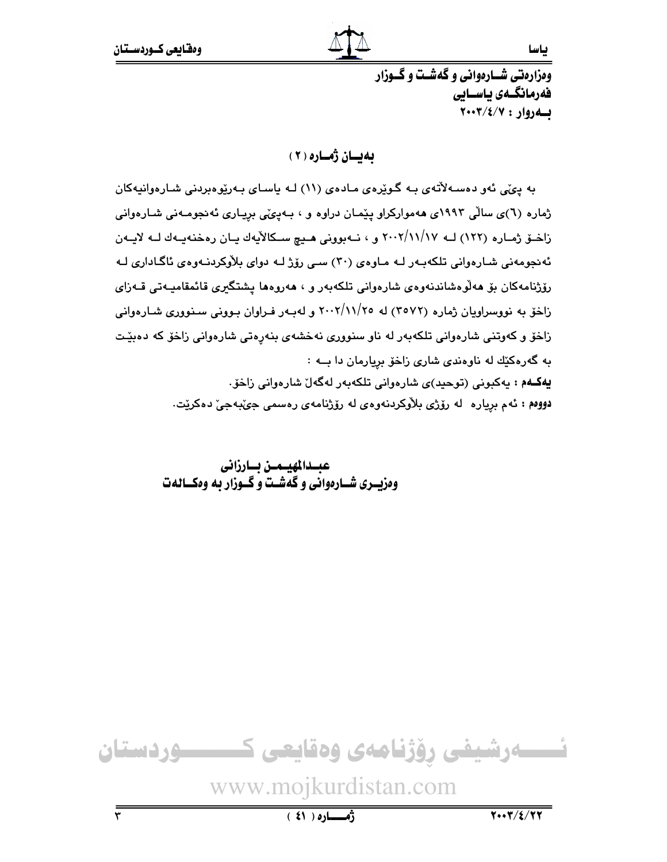ئياسيا

ومزارهتي شـارهواني و گهشـت و گــوزار فەرمانگىەى ياسىايى  $Y \cdot Y / \xi / Y :$ لله روار: ٧/٤/٢

به بسان ژماره (٢)

به پئی ئەو دەسـەلأتەي بـه گـوێِرەي مـادەي (١١) لـه ياسـاي بـەرێوەبردنى شـارەوانيەكان ژماره (٦)ی سالّی ۱۹۹۳ی ههموارکراو پیّمـان دراوه و ، بـهییمّی بریـاری ئهنجومـهنی شـارهوانی زاخىق ژمـاره (١٢٢) لــه ١٧/١١/١٧ و ، نــهبوونى هــيچ سـكالأيهك يـان رەخنەيــەك لــه لايــهن ئەنجومەنى شارەوانى تلكەبەر لـه مـاوەي (٣٠) سـى رۆژ لـه دواي بلاّوكردنـهوەي ئاگـادارى لـه رۆژنامەكان بۆ ھەلوەشاندنەوەي شارەوانى تلكەبەر و ، ھەروەھا يشتگىرى قائمقامىيەتى قـەزاي زاخو به نووسراویان ژماره (۲۰۷۲) له ۲۰۰۲/۱۱/۲۰ و لهبهر فـراوان بـوونی سـنووری شـارهوانی زاخۆ و کەوتنى شارەوانى تلکەبەر لە ناو سنوورى نەخشەي بنەرەتى شارەوانى زاخۆ کە دەبێت به گهرهکیّك له ناوهندى شارى زاخو بريارمان دا بــه : يهكـهم : يەكبونى (توحيد)ى شارەوانى تلكەبەر لەگەل شارەوانى زاخۆ. دووم : ئەم بريارە لە رۆژى بلاّوكردنەوەي لە رۆژنامەي رەسمى جىّبەجىّ دەكريّت.

> عبسدالمهيسمن بسارزانى ومزیسری شسارهوانی و گهشت و گسوزار به وهکسالهت